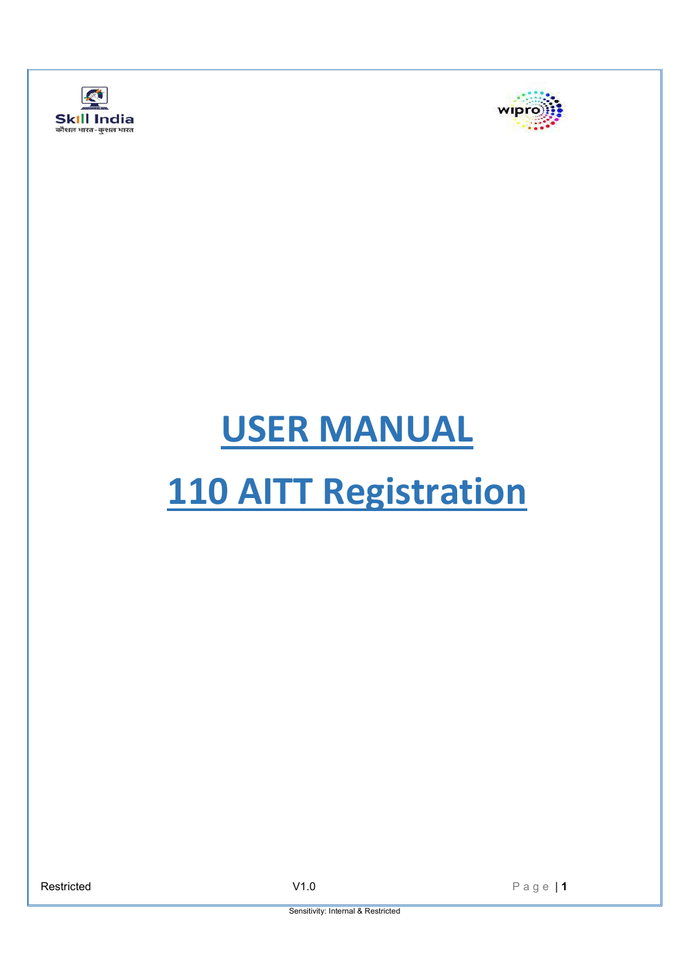



# **USER MANUAL 110 AITT Registration**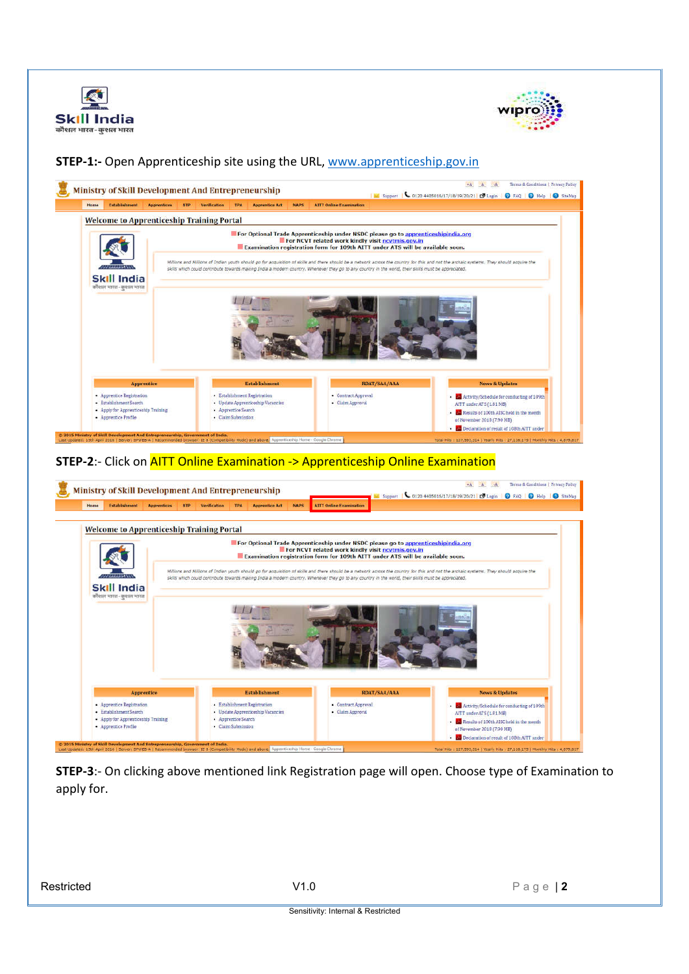



# **STEP-1:-** Open Apprenticeship site using the URL, www.apprenticeship.gov.in



#### **STEP-2**:- Click on AITT Online Examination -> Apprenticeship Online Examination



**STEP-3**:- On clicking above mentioned link Registration page will open. Choose type of Examination to apply for.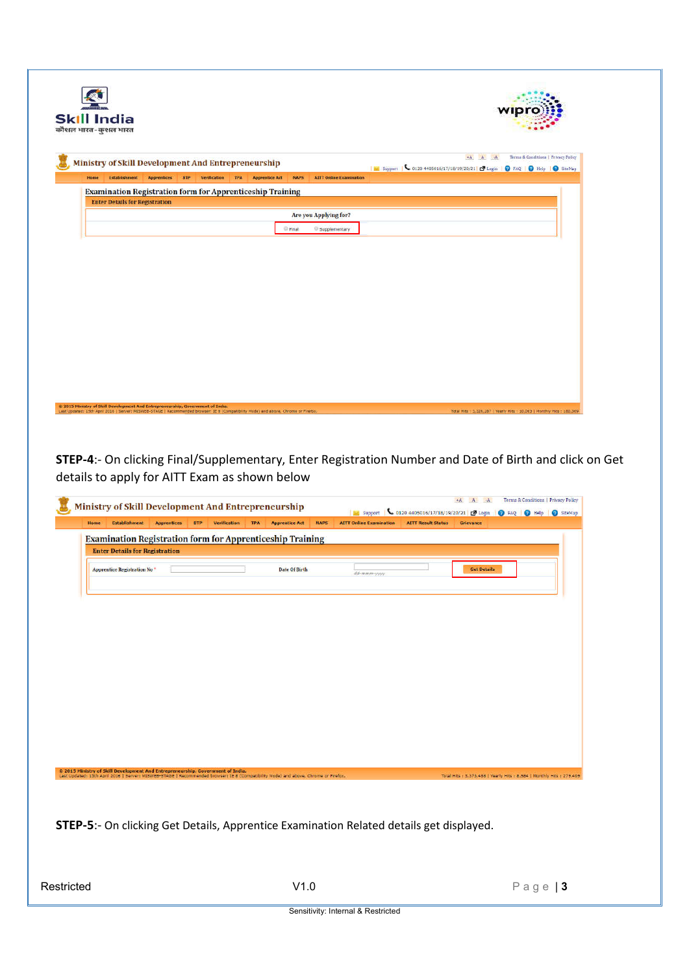|      | <b>Skill India</b><br>कौशल भारत-कुशल भारत                        |                    |            |              |            |                       |              |                                | wipr                                                                                                                                 |
|------|------------------------------------------------------------------|--------------------|------------|--------------|------------|-----------------------|--------------|--------------------------------|--------------------------------------------------------------------------------------------------------------------------------------|
|      | Ministry of Skill Development And Entrepreneurship               |                    |            |              |            |                       |              |                                | Terms & Conditions   Privacy Policy<br>$A$ . A<br>  M Support   6 0120 4405016/17/18/19/20/21   D Login   @ FAQ   @ Help   @ SiteMap |
| Home | <b>Establishment</b>                                             | <b>Apprentices</b> | <b>BTP</b> | Verification | <b>TPA</b> | <b>Apprentice Act</b> | <b>NAPS</b>  | <b>AITT Online Examination</b> |                                                                                                                                      |
|      | <b>Examination Registration form for Apprenticeship Training</b> |                    |            |              |            |                       |              |                                |                                                                                                                                      |
|      | <b>Enter Details for Registration</b>                            |                    |            |              |            |                       |              |                                |                                                                                                                                      |
|      |                                                                  |                    |            |              |            |                       |              | Are you Applying for?          |                                                                                                                                      |
|      |                                                                  |                    |            |              |            |                       | <b>Final</b> | Supplementary                  |                                                                                                                                      |
|      |                                                                  |                    |            |              |            |                       |              |                                |                                                                                                                                      |
|      |                                                                  |                    |            |              |            |                       |              |                                |                                                                                                                                      |

**STEP-4**:- On clicking Final/Supplementary, Enter Registration Number and Date of Birth and click on Get details to apply for AITT Exam as shown below

| <b>Examination Registration form for Apprenticeship Training</b><br><b>Enter Details for Registration</b><br>Date Of Birth<br><b>Apprentice Registration No *</b><br><b>Get Details</b><br>dd-mmm-yyyy<br>@ 2015 Ministry of Skill Development And Entrepreneurship, Government of India.<br>Last Updated: 15th April 2016   Server: MISWEB-STAGE   Recommended browser: IE 8 (Compatibility Mode) and above, Chrome or Firefox.<br>Total Hits : 3,373,488   Yearly Hits : 8,984   Monthly Hits : 279,409<br><b>STEP-5:-</b> On clicking Get Details, Apprentice Examination Related details get displayed. | Home | <b>Establishment</b> | <b>Apprentices</b> | <b>BTP</b> | <b>Verification</b> | <b>TPA</b> | <b>Apprentice Act</b> | <b>NAPS</b> | support<br><b>AITT Online Examination</b> | 0120 4405016/17/18/19/20/21 3 Login   2 FAQ   2 Help   2 SteMap<br><b>AITT Result Status</b> | Grievance |  |
|-------------------------------------------------------------------------------------------------------------------------------------------------------------------------------------------------------------------------------------------------------------------------------------------------------------------------------------------------------------------------------------------------------------------------------------------------------------------------------------------------------------------------------------------------------------------------------------------------------------|------|----------------------|--------------------|------------|---------------------|------------|-----------------------|-------------|-------------------------------------------|----------------------------------------------------------------------------------------------|-----------|--|
|                                                                                                                                                                                                                                                                                                                                                                                                                                                                                                                                                                                                             |      |                      |                    |            |                     |            |                       |             |                                           |                                                                                              |           |  |
|                                                                                                                                                                                                                                                                                                                                                                                                                                                                                                                                                                                                             |      |                      |                    |            |                     |            |                       |             |                                           |                                                                                              |           |  |
|                                                                                                                                                                                                                                                                                                                                                                                                                                                                                                                                                                                                             |      |                      |                    |            |                     |            |                       |             |                                           |                                                                                              |           |  |
|                                                                                                                                                                                                                                                                                                                                                                                                                                                                                                                                                                                                             |      |                      |                    |            |                     |            |                       |             |                                           |                                                                                              |           |  |
|                                                                                                                                                                                                                                                                                                                                                                                                                                                                                                                                                                                                             |      |                      |                    |            |                     |            |                       |             |                                           |                                                                                              |           |  |
|                                                                                                                                                                                                                                                                                                                                                                                                                                                                                                                                                                                                             |      |                      |                    |            |                     |            |                       |             |                                           |                                                                                              |           |  |
|                                                                                                                                                                                                                                                                                                                                                                                                                                                                                                                                                                                                             |      |                      |                    |            |                     |            |                       |             |                                           |                                                                                              |           |  |
|                                                                                                                                                                                                                                                                                                                                                                                                                                                                                                                                                                                                             |      |                      |                    |            |                     |            |                       |             |                                           |                                                                                              |           |  |
|                                                                                                                                                                                                                                                                                                                                                                                                                                                                                                                                                                                                             |      |                      |                    |            |                     |            |                       |             |                                           |                                                                                              |           |  |
|                                                                                                                                                                                                                                                                                                                                                                                                                                                                                                                                                                                                             |      |                      |                    |            |                     |            |                       |             |                                           |                                                                                              |           |  |
|                                                                                                                                                                                                                                                                                                                                                                                                                                                                                                                                                                                                             |      |                      |                    |            |                     |            |                       |             |                                           |                                                                                              |           |  |
|                                                                                                                                                                                                                                                                                                                                                                                                                                                                                                                                                                                                             |      |                      |                    |            |                     |            |                       |             |                                           |                                                                                              |           |  |
|                                                                                                                                                                                                                                                                                                                                                                                                                                                                                                                                                                                                             |      |                      |                    |            |                     |            |                       |             |                                           |                                                                                              |           |  |
|                                                                                                                                                                                                                                                                                                                                                                                                                                                                                                                                                                                                             |      |                      |                    |            |                     |            |                       |             |                                           |                                                                                              |           |  |
|                                                                                                                                                                                                                                                                                                                                                                                                                                                                                                                                                                                                             |      |                      |                    |            |                     |            |                       |             |                                           |                                                                                              |           |  |
|                                                                                                                                                                                                                                                                                                                                                                                                                                                                                                                                                                                                             |      |                      |                    |            |                     |            |                       |             |                                           |                                                                                              |           |  |
|                                                                                                                                                                                                                                                                                                                                                                                                                                                                                                                                                                                                             |      |                      |                    |            |                     |            |                       |             |                                           |                                                                                              |           |  |
|                                                                                                                                                                                                                                                                                                                                                                                                                                                                                                                                                                                                             |      |                      |                    |            |                     |            |                       |             |                                           |                                                                                              |           |  |
|                                                                                                                                                                                                                                                                                                                                                                                                                                                                                                                                                                                                             |      |                      |                    |            |                     |            |                       |             |                                           |                                                                                              |           |  |
|                                                                                                                                                                                                                                                                                                                                                                                                                                                                                                                                                                                                             |      |                      |                    |            |                     |            |                       |             |                                           |                                                                                              |           |  |
|                                                                                                                                                                                                                                                                                                                                                                                                                                                                                                                                                                                                             |      |                      |                    |            |                     |            |                       |             |                                           |                                                                                              |           |  |
|                                                                                                                                                                                                                                                                                                                                                                                                                                                                                                                                                                                                             |      |                      |                    |            |                     |            |                       |             |                                           |                                                                                              |           |  |
|                                                                                                                                                                                                                                                                                                                                                                                                                                                                                                                                                                                                             |      |                      |                    |            |                     |            |                       |             |                                           |                                                                                              |           |  |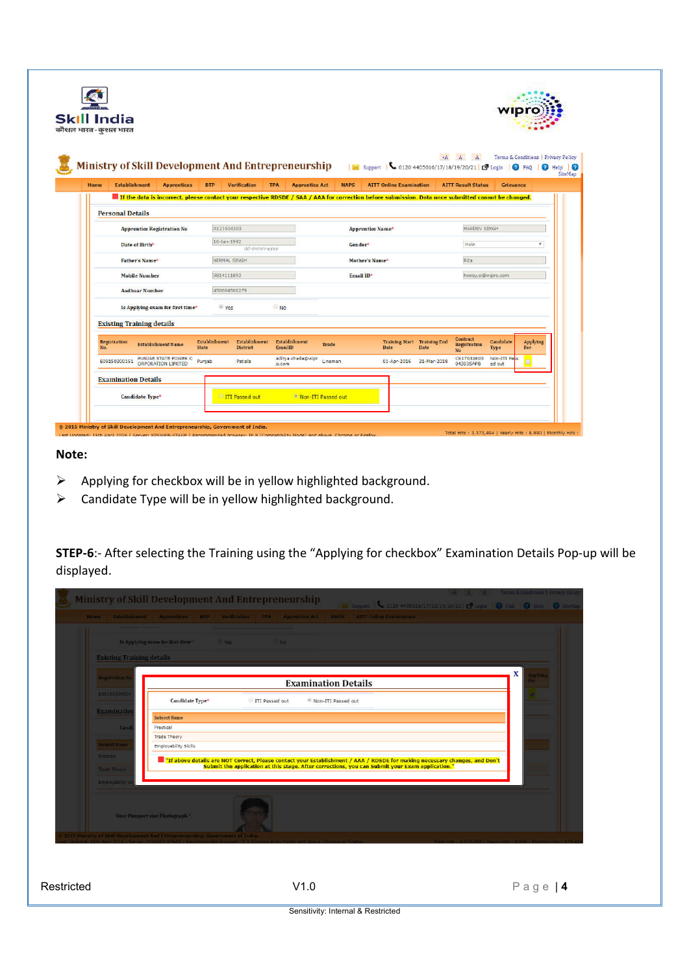|      | <b>Skill India</b>               |                       |                                            |                        |              |                                  |                                                                                                                                                     |                    |                |                                |                                            |                                       |                                     |                                          |
|------|----------------------------------|-----------------------|--------------------------------------------|------------------------|--------------|----------------------------------|-----------------------------------------------------------------------------------------------------------------------------------------------------|--------------------|----------------|--------------------------------|--------------------------------------------|---------------------------------------|-------------------------------------|------------------------------------------|
|      | कौशल भारत-कशल भारत               |                       |                                            |                        |              |                                  | Ministry of Skill Development And Entrepreneurship Management                                                                                       |                    |                |                                | 0120 4405016/17/18/19/20/21 [ Login        | $A$ $A$                               | Terms & Conditions   Privacy Policy | <b>O</b> FAO<br><b>O</b> Help   <b>O</b> |
| Home | <b>Establishment</b>             |                       | <b>Apprentices</b>                         | <b>BTP</b>             |              | <b>Verification</b>              | <b>TPA</b><br><b>Apprentice Act</b>                                                                                                                 |                    | <b>NAPS</b>    | <b>AITT Online Examination</b> |                                            | <b>AITT Result Status</b>             | Grievance                           |                                          |
|      |                                  |                       |                                            |                        |              |                                  | If the data is incorrect, please contact your respective RDSDE / SAA / AAA for correction before submission. Data once submitted cannot be changed. |                    |                |                                |                                            |                                       |                                     |                                          |
|      | <b>Personal Details</b>          |                       |                                            |                        |              |                                  |                                                                                                                                                     |                    |                |                                |                                            |                                       |                                     |                                          |
|      |                                  |                       | <b>Apprentice Registration No</b>          |                        | A121504303   |                                  |                                                                                                                                                     |                    |                | <b>Apprentice Name*</b>        |                                            | <b>HARDEV SINGH</b>                   |                                     |                                          |
|      |                                  | Date of Birth*        |                                            |                        | 16-Jan-1992  | dd-mmm-yyyy                      |                                                                                                                                                     |                    | Gender*        |                                |                                            | Male                                  |                                     | ٠                                        |
|      |                                  | <b>Father's Name*</b> |                                            |                        | NIRMAL SINGH |                                  |                                                                                                                                                     |                    | Mother's Name* |                                | Rita                                       |                                       |                                     |                                          |
|      |                                  | <b>Mobile Number</b>  |                                            |                        | 9814111893   |                                  |                                                                                                                                                     |                    | Email ID*      |                                |                                            | honey.si@wipro.com                    |                                     |                                          |
|      |                                  | <b>Aadhaar Number</b> |                                            |                        | 458604566279 |                                  |                                                                                                                                                     |                    |                |                                |                                            |                                       |                                     |                                          |
|      |                                  |                       | Is Applying exam for first time*           |                        | <b>Yes</b>   |                                  | No.                                                                                                                                                 |                    |                |                                |                                            |                                       |                                     |                                          |
|      | <b>Existing Training details</b> |                       |                                            |                        |              |                                  |                                                                                                                                                     |                    |                |                                |                                            |                                       |                                     |                                          |
| No.  | <b>Registration</b>              |                       | <b>Establishment Name</b>                  | Establishment<br>State |              | Establishment<br><b>District</b> | Establishment<br>EmailID                                                                                                                            | Trade              |                | Date                           | <b>Training Start Training End</b><br>Date | Contract<br>Registration<br><b>No</b> | Candidate<br>Type                   | Applying<br>For                          |
|      | E09150300151                     |                       | PUNJAB STATE POWER C<br>ORPORATION LIMITED | Puniab                 |              | Patiala                          | aditya.chada@wipr<br>o.com                                                                                                                          | Lineman            |                |                                | 01-Apr-2016 31-Mar-2018                    | CR17031603<br>04303SAPB               | Non-ITI Pass<br>ed out              |                                          |
|      | <b>Examination Details</b>       |                       |                                            |                        |              |                                  |                                                                                                                                                     |                    |                |                                |                                            |                                       |                                     |                                          |
|      |                                  | Candidate Type*       |                                            |                        |              | <b>ITT Passed out</b>            |                                                                                                                                                     | Non-ITI Passed out |                |                                |                                            |                                       |                                     |                                          |

# **Note:**

- $\triangleright$  Applying for checkbox will be in yellow highlighted background.
- $\triangleright$  Candidate Type will be in yellow highlighted background.

**STEP-6**:- After selecting the Training using the "Applying for checkbox" Examination Details Pop-up will be displayed.

| Is Applying cram for first time"<br>$- 1$<br>NQ<br><b>Existing Training details</b><br>Registration N<br><b>Examination Details</b><br>E09153300004<br>Candidate Type*<br>ITI Passed out<br>R Non-ITI Passed out<br><b>Examination</b><br><b>Subject Name</b><br>Practical<br>Cand<br>Trade Theory<br>Subject Name<br>Employability Skills<br>Practical<br>If above details are NOT Correct, Please contact your Establishment / AAA / RDSDE for making necessary changes, and Don't "<br>Submit the application at this stage. After corrections, you can Submit your Exam application.<br><b>Trade Theory</b> | X<br><b>Chann</b> |
|-----------------------------------------------------------------------------------------------------------------------------------------------------------------------------------------------------------------------------------------------------------------------------------------------------------------------------------------------------------------------------------------------------------------------------------------------------------------------------------------------------------------------------------------------------------------------------------------------------------------|-------------------|
|                                                                                                                                                                                                                                                                                                                                                                                                                                                                                                                                                                                                                 |                   |
|                                                                                                                                                                                                                                                                                                                                                                                                                                                                                                                                                                                                                 |                   |
|                                                                                                                                                                                                                                                                                                                                                                                                                                                                                                                                                                                                                 |                   |
|                                                                                                                                                                                                                                                                                                                                                                                                                                                                                                                                                                                                                 |                   |
|                                                                                                                                                                                                                                                                                                                                                                                                                                                                                                                                                                                                                 |                   |
|                                                                                                                                                                                                                                                                                                                                                                                                                                                                                                                                                                                                                 |                   |
|                                                                                                                                                                                                                                                                                                                                                                                                                                                                                                                                                                                                                 |                   |
|                                                                                                                                                                                                                                                                                                                                                                                                                                                                                                                                                                                                                 |                   |
|                                                                                                                                                                                                                                                                                                                                                                                                                                                                                                                                                                                                                 |                   |
| Employability                                                                                                                                                                                                                                                                                                                                                                                                                                                                                                                                                                                                   |                   |
| Your Passport size Photograph                                                                                                                                                                                                                                                                                                                                                                                                                                                                                                                                                                                   |                   |
| 2015 Ministry of Skill Development And Entrepreneurship. Government of India                                                                                                                                                                                                                                                                                                                                                                                                                                                                                                                                    |                   |
|                                                                                                                                                                                                                                                                                                                                                                                                                                                                                                                                                                                                                 |                   |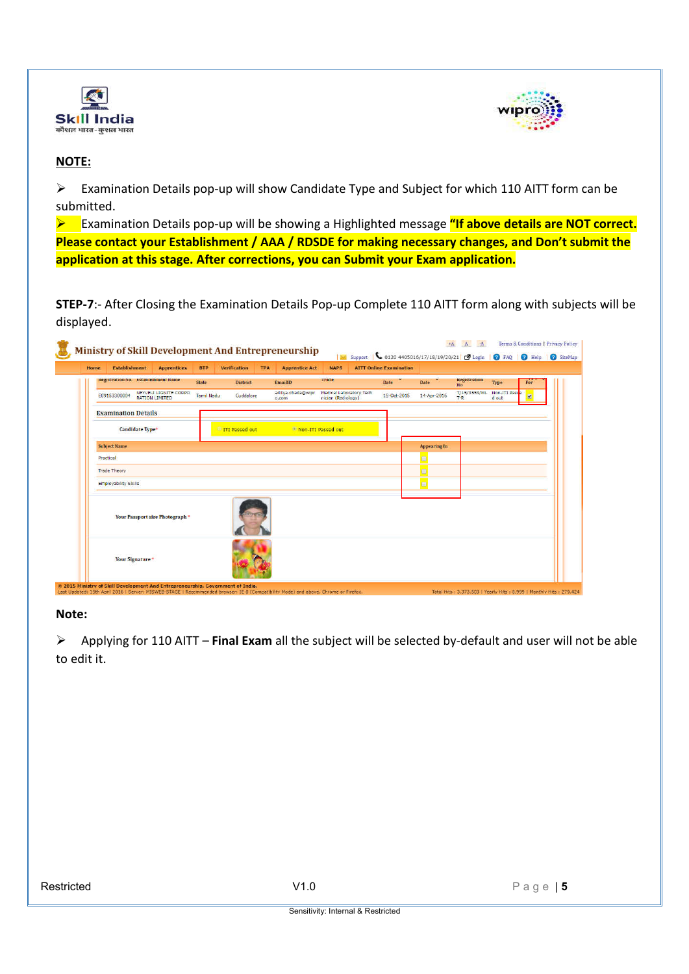



# **NOTE:**

 $\triangleright$  Examination Details pop-up will show Candidate Type and Subject for which 110 AITT form can be submitted.

 Examination Details pop-up will be showing a Highlighted message **"If above details are NOT correct. Please contact your Establishment / AAA / RDSDE for making necessary changes, and Don't submit the application at this stage. After corrections, you can Submit your Exam application.**

**STEP-7**:- After Closing the Examination Details Pop-up Complete 110 AITT form along with subjects will be displayed.

| Home | <b>Establishment</b>                | <b>Apprentices</b>                             | <b>BTP</b>        | <b>Verification</b>   | <b>TPA</b> | <b>Apprentice Act</b>      | <b>NAPS</b>                                   | <b>AITT Online Examination</b> |                     |                           |                        |     |
|------|-------------------------------------|------------------------------------------------|-------------------|-----------------------|------------|----------------------------|-----------------------------------------------|--------------------------------|---------------------|---------------------------|------------------------|-----|
|      | Registration No. Establishment Name |                                                | State             | <b>District</b>       |            | EmailID                    | <b>Irade</b>                                  | Date                           | Date                | Registration<br><b>No</b> | Type                   | For |
|      | E09153300004                        | NEYVELI LIGNITE CORPO<br><b>RATION LIMITED</b> | <b>Tamil Nadu</b> | Cuddalore             |            | aditya.chada@wipr<br>o.com | Medical Laboratory Tech<br>nician (Radiology) | 15-Oct 2015                    | 14-Apr-2016         | T/15/3553/ML<br>$T-R$     | Non-ITI Passe<br>d out |     |
|      | <b>Examination Details</b>          |                                                |                   |                       |            |                            |                                               |                                |                     |                           |                        |     |
|      | Candidate Type*                     |                                                |                   | <b>ITT Passed out</b> |            | Non-ITI Passed out         |                                               |                                |                     |                           |                        |     |
|      | Subject Name                        |                                                |                   |                       |            |                            |                                               |                                | <b>Appearing In</b> |                           |                        |     |
|      | Practical                           |                                                |                   |                       |            |                            |                                               |                                |                     |                           |                        |     |
|      | <b>Trade Theory</b>                 |                                                |                   |                       |            |                            |                                               |                                | Ð                   |                           |                        |     |
|      | <b>Employability Skills</b>         |                                                |                   |                       |            |                            |                                               |                                | E                   |                           |                        |     |
|      |                                     | Your Passport size Photograph *                |                   |                       |            |                            |                                               |                                |                     |                           |                        |     |
|      | Your Signature <sup>*</sup>         |                                                |                   |                       |            |                            |                                               |                                |                     |                           |                        |     |

### **Note:**

 Applying for 110 AITT – **Final Exam** all the subject will be selected by-default and user will not be able to edit it.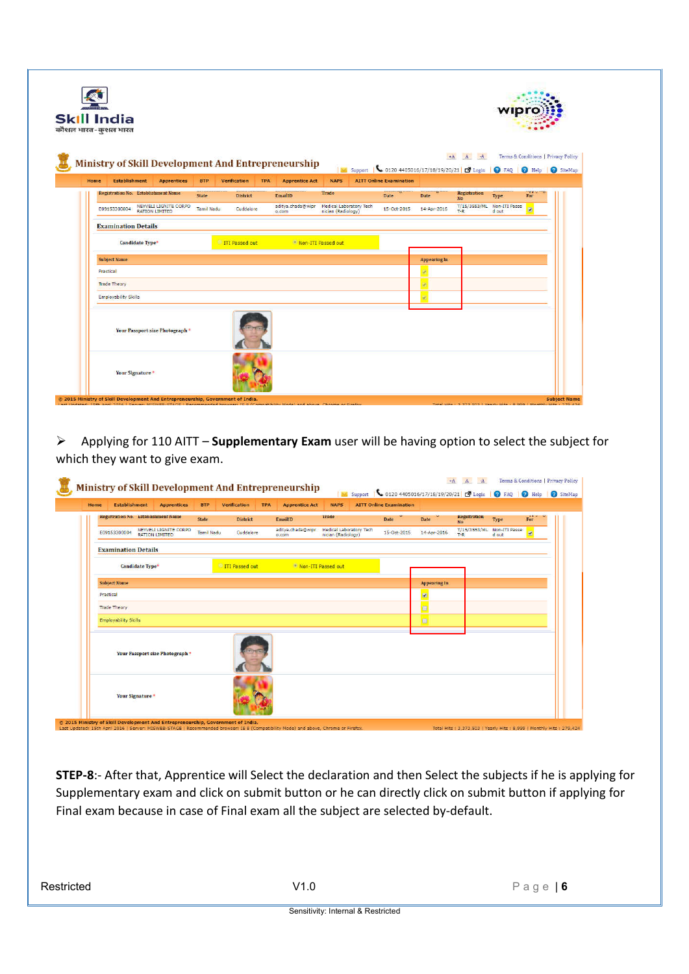|             | <b>Skill India</b><br>कौशल भारत-कुशल भारत |                        |                                                |              |                       |            |                                                    |                                               |                                                                                  |              |                            |                                     |              |
|-------------|-------------------------------------------|------------------------|------------------------------------------------|--------------|-----------------------|------------|----------------------------------------------------|-----------------------------------------------|----------------------------------------------------------------------------------|--------------|----------------------------|-------------------------------------|--------------|
|             |                                           |                        |                                                |              |                       |            | Ministry of Skill Development And Entrepreneurship |                                               | M Support   6 0120 4405016/17/18/19/20/21   2 Login   2 FAQ   2 Help   2 SiteMap |              | $+A$ $A$ $A$               | Terms & Conditions   Privacy Policy |              |
| <b>Home</b> | <b>Establishment</b>                      |                        | <b>Apprentices</b>                             | <b>BTP</b>   | Verification          | <b>TPA</b> | <b>Apprentice Act</b>                              | <b>NAPS</b>                                   | <b>AITT Online Examination</b>                                                   |              |                            |                                     |              |
|             | Registration No. Establishment Name       |                        |                                                | <b>State</b> | <b>District</b>       |            | EmailID                                            | Trade                                         | Date                                                                             | Date         | <b>Registration</b><br>No. | Type                                | me to<br>For |
|             | E09153300004                              |                        | NEYVELI LIGNITE CORPO<br><b>RATION LIMITED</b> | Tamil Nadu   | Cuddalore             |            | aditya.chada@wipr<br>o.com                         | Medical Laboratory Tech<br>nician (Radiology) | 15-Oct-2015                                                                      | 14-Apr-2016  | $T-R$                      | T/15/3553/ML Non-ITI Passe<br>d out | V            |
|             | <b>Examination Details</b>                |                        |                                                |              |                       |            |                                                    |                                               |                                                                                  |              |                            |                                     |              |
|             |                                           | <b>Candidate Type*</b> |                                                |              | <b>ITI Passed out</b> |            | Non-ITI Passed out                                 |                                               |                                                                                  |              |                            |                                     |              |
|             | <b>Subject Name</b>                       |                        |                                                |              |                       |            |                                                    |                                               |                                                                                  | Appearing In |                            |                                     |              |
|             | Practical                                 |                        |                                                |              |                       |            |                                                    |                                               |                                                                                  |              |                            |                                     |              |
|             | <b>Trade Theory</b>                       |                        |                                                |              |                       |            |                                                    |                                               |                                                                                  |              |                            |                                     |              |
|             | <b>Employability Skills</b>               |                        |                                                |              |                       |            |                                                    |                                               |                                                                                  |              |                            |                                     |              |
|             |                                           |                        | Your Passport size Photograph *                |              |                       |            |                                                    |                                               |                                                                                  |              |                            |                                     |              |
|             | Your Signature <sup>*</sup>               |                        |                                                |              |                       |            |                                                    |                                               |                                                                                  |              |                            |                                     |              |

 Applying for 110 AITT – **Supplementary Exam** user will be having option to select the subject for which they want to give exam.

| Home | <b>Establishment</b>                | <b>Apprentices</b>                             | <b>BTP</b>        | <b>Verification</b>   | <b>TPA</b> | <b>Apprentice Act</b>       | <b>NAPS</b>                                          | <b>AITT Online Examination</b> |                     |                           |                        |                       |
|------|-------------------------------------|------------------------------------------------|-------------------|-----------------------|------------|-----------------------------|------------------------------------------------------|--------------------------------|---------------------|---------------------------|------------------------|-----------------------|
|      | Registration No. Establishment Name |                                                | State             | <b>District</b>       |            | EmailID                     | Trade                                                | Date                           | Date                | Registration<br><b>No</b> | Type                   | <b>A.A. U.</b><br>For |
|      | E09153300004                        | NEYVELI LIGNITE CORPO<br><b>RATION LIMITED</b> | <b>Tamil Nadu</b> | Cuddalore             |            | aditya.chada@wipr<br>o, com | <b>Medical Laboratory Tech</b><br>nician (Radiology) | 15-Oct-2015                    | 14-Apr-2016         | T/15/3553/ML<br>$T - R$   | Non-ITI Passe<br>d out | $\blacksquare$        |
|      | <b>Examination Details</b>          |                                                |                   |                       |            |                             |                                                      |                                |                     |                           |                        |                       |
|      | <b>Candidate Type*</b>              |                                                |                   | <b>TTI Passed out</b> |            | Non-ITI Passed out          |                                                      |                                |                     |                           |                        |                       |
|      | <b>Subject Name</b>                 |                                                |                   |                       |            |                             |                                                      |                                | <b>Appearing In</b> |                           |                        |                       |
|      | Practical                           |                                                |                   |                       |            |                             |                                                      |                                | $\blacksquare$      |                           |                        |                       |
|      | <b>Trade Theory</b>                 |                                                |                   |                       |            |                             |                                                      |                                | E                   |                           |                        |                       |
|      | <b>Employability Skills</b>         |                                                |                   |                       |            |                             |                                                      |                                | o                   |                           |                        |                       |
|      |                                     | Your Passport size Photograph *                |                   |                       |            |                             |                                                      |                                |                     |                           |                        |                       |
|      | Your Signature *                    |                                                |                   |                       |            |                             |                                                      |                                |                     |                           |                        |                       |

**STEP-8**:- After that, Apprentice will Select the declaration and then Select the subjects if he is applying for Supplementary exam and click on submit button or he can directly click on submit button if applying for Final exam because in case of Final exam all the subject are selected by-default.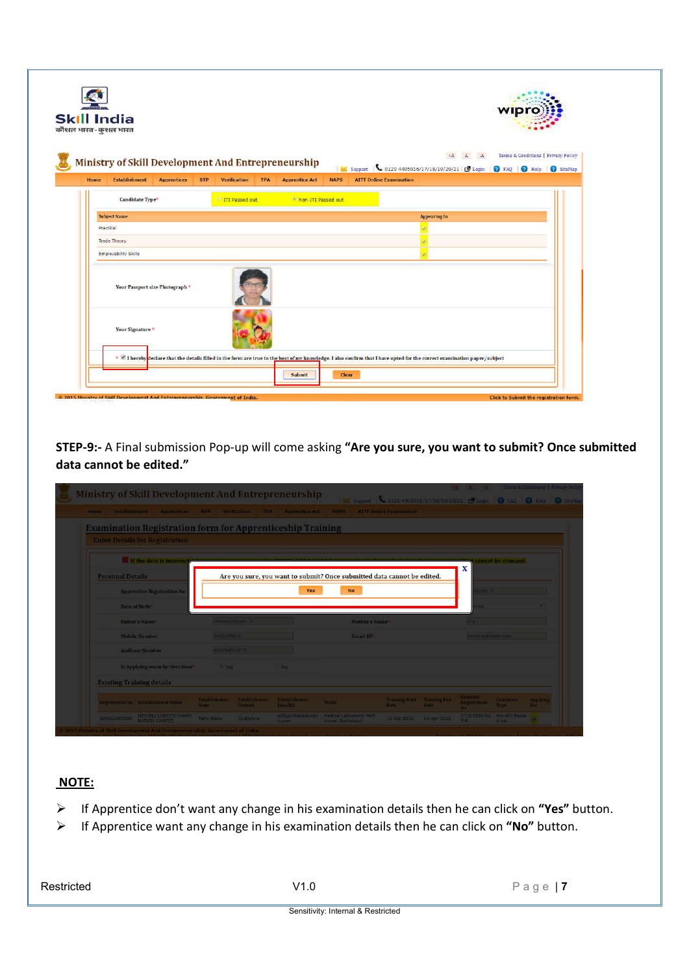|      | <b>Skill India</b><br>कौशल भारत-कुशल भारत                                  |                                 |            |                        |            |                                                                                                                                                                          |             |                                |                     |              | wır |                                                                                                                      |
|------|----------------------------------------------------------------------------|---------------------------------|------------|------------------------|------------|--------------------------------------------------------------------------------------------------------------------------------------------------------------------------|-------------|--------------------------------|---------------------|--------------|-----|----------------------------------------------------------------------------------------------------------------------|
| Home | Ministry of Skill Development And Entrepreneurship<br><b>Establishment</b> | <b>Apprentices</b>              | <b>BTP</b> | <b>Verification</b>    | <b>TPA</b> | <b>Apprentice Act</b>                                                                                                                                                    | <b>NAPS</b> | <b>AITT Online Examination</b> |                     | $+A$ $A$ $A$ |     | Terms & Conditions   Privacy Policy<br>Support   0120 4405016/17/18/19/20/21   19 Login   0 FAQ   0 Help   0 SiteMap |
|      |                                                                            |                                 |            |                        |            |                                                                                                                                                                          |             |                                |                     |              |     |                                                                                                                      |
|      | <b>Candidate Type*</b>                                                     |                                 |            | <b>ITTI Passed out</b> |            | * Non-ITI Passed out                                                                                                                                                     |             |                                |                     |              |     |                                                                                                                      |
|      | <b>Subject Name</b>                                                        |                                 |            |                        |            |                                                                                                                                                                          |             |                                | <b>Appearing In</b> |              |     |                                                                                                                      |
|      | Practical                                                                  |                                 |            |                        |            |                                                                                                                                                                          |             |                                |                     |              |     |                                                                                                                      |
|      | <b>Trade Theory</b>                                                        |                                 |            |                        |            |                                                                                                                                                                          |             |                                |                     |              |     |                                                                                                                      |
|      | <b>Employability Skills</b>                                                |                                 |            |                        |            |                                                                                                                                                                          |             |                                |                     |              |     |                                                                                                                      |
|      |                                                                            | Your Passport size Photograph * |            |                        |            |                                                                                                                                                                          |             |                                |                     |              |     |                                                                                                                      |
|      | Your Signature <sup>*</sup>                                                |                                 |            |                        |            |                                                                                                                                                                          |             |                                |                     |              |     |                                                                                                                      |
|      |                                                                            |                                 |            |                        |            | * If lereby declare that the details filled in the form are true to the best of my knowledge. I also confirm that I have opted for the correct examination paper/subject |             |                                |                     |              |     |                                                                                                                      |
|      |                                                                            |                                 |            |                        |            |                                                                                                                                                                          |             |                                |                     |              |     |                                                                                                                      |

**STEP-9:-** A Final submission Pop-up will come asking **"Are you sure, you want to submit? Once submitted data cannot be edited."**

| Home Establishment                                               |                                 | Apprentices BTP Verification TPA Apprentice.Act                         | NAPS.          | <b>ALTI Online Examination:</b> |              |                                        |                    |          |
|------------------------------------------------------------------|---------------------------------|-------------------------------------------------------------------------|----------------|---------------------------------|--------------|----------------------------------------|--------------------|----------|
| <b>Examination Registration form for Apprenticeship Training</b> |                                 |                                                                         |                |                                 |              |                                        |                    |          |
| <b>Enter Details for Registration</b>                            |                                 |                                                                         |                |                                 |              |                                        |                    |          |
| If the data is incorred                                          |                                 |                                                                         |                |                                 |              |                                        | cannot be changed. |          |
|                                                                  |                                 |                                                                         |                |                                 |              | x                                      |                    |          |
| <b>Personal Details</b>                                          |                                 | Are you sure, you want to submit? Once submitted data cannot be edited. |                |                                 |              |                                        |                    |          |
| Apprentice Registration No.                                      |                                 | <b>Yes</b>                                                              | <b>No</b>      |                                 |              | <b>TOTELE</b>                          |                    |          |
| Date of Birth <sup>+</sup>                                       |                                 |                                                                         |                |                                 |              |                                        |                    |          |
| Father's Name*                                                   | <b>PARAMASTVAN</b> E            |                                                                         | Mother's Name" |                                 |              | ne a                                   |                    |          |
| Mobile Number                                                    | <b>774234006</b>                |                                                                         | Email ID*      |                                 |              | <b>CONTRACTOR</b>                      |                    |          |
| <b>Aadhaar Number</b>                                            | <b>TRANSMITTER</b>              |                                                                         |                |                                 |              |                                        |                    |          |
| It Applying exam for first time"                                 | <b>All Yes</b>                  | h <sub>o</sub>                                                          |                |                                 |              |                                        |                    |          |
| <b>Existing Training details</b>                                 |                                 |                                                                         |                |                                 |              |                                        |                    |          |
|                                                                  |                                 | Establishment Establishment Establishment                               | Trade          | Training Start Training Ded     |              | <b>Contract</b><br><b>Registration</b> | <b>Candidate</b>   | Applying |
| Registration No. Establishment Name                              | <b>CHAIR</b><br><b>Dartract</b> | <b>Considers</b>                                                        |                | <b>Date:</b>                    | <b>Date:</b> |                                        | Type               |          |

#### **NOTE:**

- If Apprentice don't want any change in his examination details then he can click on **"Yes"** button.
- If Apprentice want any change in his examination details then he can click on **"No"** button.

Restricted Page | **7**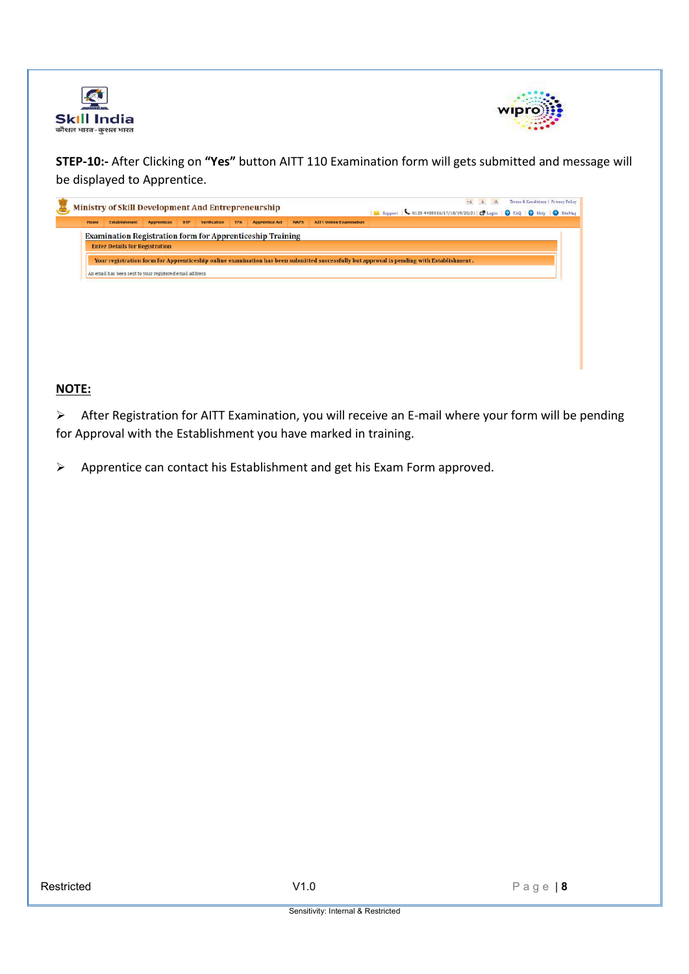



**STEP-10:-** After Clicking on **"Yes"** button AITT 110 Examination form will gets submitted and message will be displayed to Apprentice.

| <b>Home</b> | <b>Establishment</b>                                             | <b>Apprentices</b> | <b>BTP</b> | <b>Verification</b> | <b>TPA</b> | <b>Apprentice Act</b> | <b>NAPS</b> | <b>AITT Online Examination</b>                                                                                                           | E. Support   6120 4405016/17/18/19/20/21   C Login   O FAQ   O Help   O SiteMap |  |  |
|-------------|------------------------------------------------------------------|--------------------|------------|---------------------|------------|-----------------------|-------------|------------------------------------------------------------------------------------------------------------------------------------------|---------------------------------------------------------------------------------|--|--|
|             | <b>Examination Registration form for Apprenticeship Training</b> |                    |            |                     |            |                       |             |                                                                                                                                          |                                                                                 |  |  |
|             | <b>Enter Details for Registration</b>                            |                    |            |                     |            |                       |             |                                                                                                                                          |                                                                                 |  |  |
|             |                                                                  |                    |            |                     |            |                       |             |                                                                                                                                          |                                                                                 |  |  |
|             |                                                                  |                    |            |                     |            |                       |             | Your registration form for Apprenticeship online examination has been submitted successfully but approval is pending with Establishment. |                                                                                 |  |  |
|             |                                                                  |                    |            |                     |            |                       |             |                                                                                                                                          |                                                                                 |  |  |
|             |                                                                  |                    |            |                     |            |                       |             |                                                                                                                                          |                                                                                 |  |  |
|             | An email has been sent to your registered email address          |                    |            |                     |            |                       |             |                                                                                                                                          |                                                                                 |  |  |
|             |                                                                  |                    |            |                     |            |                       |             |                                                                                                                                          |                                                                                 |  |  |
|             |                                                                  |                    |            |                     |            |                       |             |                                                                                                                                          |                                                                                 |  |  |
|             |                                                                  |                    |            |                     |            |                       |             |                                                                                                                                          |                                                                                 |  |  |

# **NOTE:**

 After Registration for AITT Examination, you will receive an E-mail where your form will be pending for Approval with the Establishment you have marked in training.

Apprentice can contact his Establishment and get his Exam Form approved.